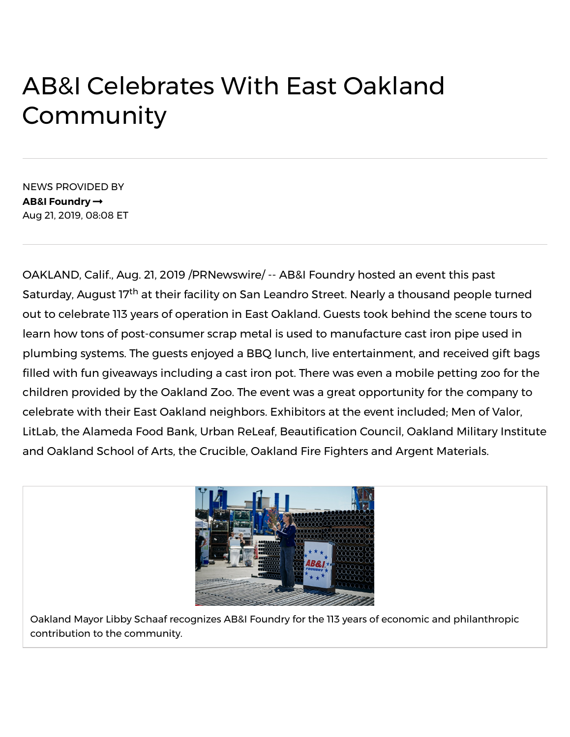## AB&I Celebrates With East Oakland Community

NEWS PROVIDED BY **AB&I [Foundry](https://www.prnewswire.com/news/ab%26i-foundry)** Aug 21, 2019, 08:08 ET

OAKLAND, Calif., Aug. 21, 2019 /PRNewswire/ -- AB&I Foundry hosted an event this past Saturday, August 17<sup>th</sup> at their facility on San Leandro Street. Nearly a thousand people turned out to celebrate 113 years of operation in East Oakland. Guests took behind the scene tours to learn how tons of post-consumer scrap metal is used to manufacture cast iron pipe used in plumbing systems. The guests enjoyed a BBQ lunch, live entertainment, and received gift bags filled with fun giveaways including a cast iron pot. There was even a mobile petting zoo for the children provided by the Oakland Zoo. The event was a great opportunity for the company to celebrate with their East Oakland neighbors. Exhibitors at the event included; Men of Valor, LitLab, the Alameda Food Bank, Urban ReLeaf, Beautification Council, Oakland Military Institute and Oakland School of Arts, the Crucible, Oakland Fire Fighters and Argent Materials.



Oakland Mayor Libby Schaaf recognizes AB&I Foundry for the 113 years of economic and philanthropic contribution to the community.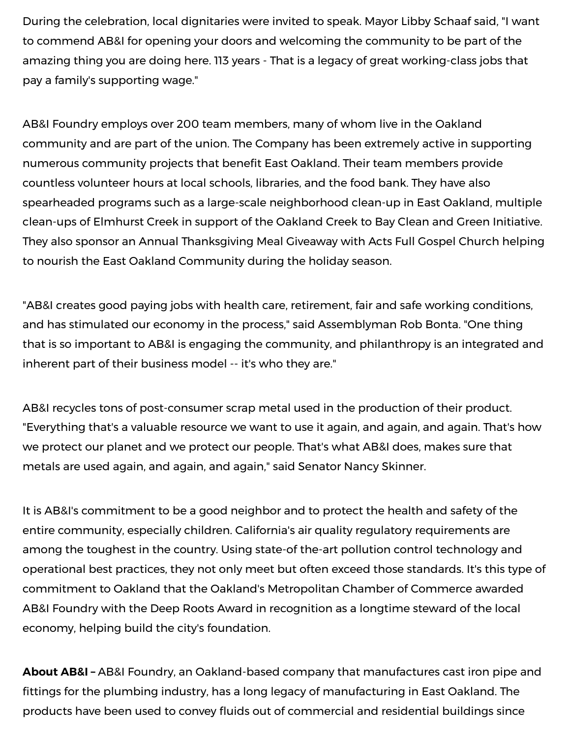During the celebration, local dignitaries were invited to speak. Mayor Libby Schaaf said, "I want to commend AB&I for opening your doors and welcoming the community to be part of the amazing thing you are doing here. 113 years - That is a legacy of great working-class jobs that pay a family's supporting wage."

AB&I Foundry employs over 200 team members, many of whom live in the Oakland community and are part of the union. The Company has been extremely active in supporting numerous community projects that benefit East Oakland. Their team members provide countless volunteer hours at local schools, libraries, and the food bank. They have also spearheaded programs such as a large-scale neighborhood clean-up in East Oakland, multiple clean-ups of Elmhurst Creek in support of the Oakland Creek to Bay Clean and Green Initiative. They also sponsor an Annual Thanksgiving Meal Giveaway with Acts Full Gospel Church helping to nourish the East Oakland Community during the holiday season.

"AB&I creates good paying jobs with health care, retirement, fair and safe working conditions, and has stimulated our economy in the process," said Assemblyman Rob Bonta. "One thing that is so important to AB&I is engaging the community, and philanthropy is an integrated and inherent part of their business model -- it's who they are."

AB&I recycles tons of post-consumer scrap metal used in the production of their product. "Everything that's a valuable resource we want to use it again, and again, and again. That's how we protect our planet and we protect our people. That's what AB&I does, makes sure that metals are used again, and again, and again," said Senator Nancy Skinner.

It is AB&I's commitment to be a good neighbor and to protect the health and safety of the entire community, especially children. California's air quality regulatory requirements are among the toughest in the country. Using state-of the-art pollution control technology and operational best practices, they not only meet but often exceed those standards. It's this type of commitment to Oakland that the Oakland's Metropolitan Chamber of Commerce awarded AB&I Foundry with the Deep Roots Award in recognition as a longtime steward of the local economy, helping build the city's foundation.

products have been used to convey fluids out of commercial and residential buildings since **About AB&I –** AB&I Foundry, an Oakland-based company that manufactures cast iron pipe and fittings for the plumbing industry, has a long legacy of manufacturing in East Oakland. The